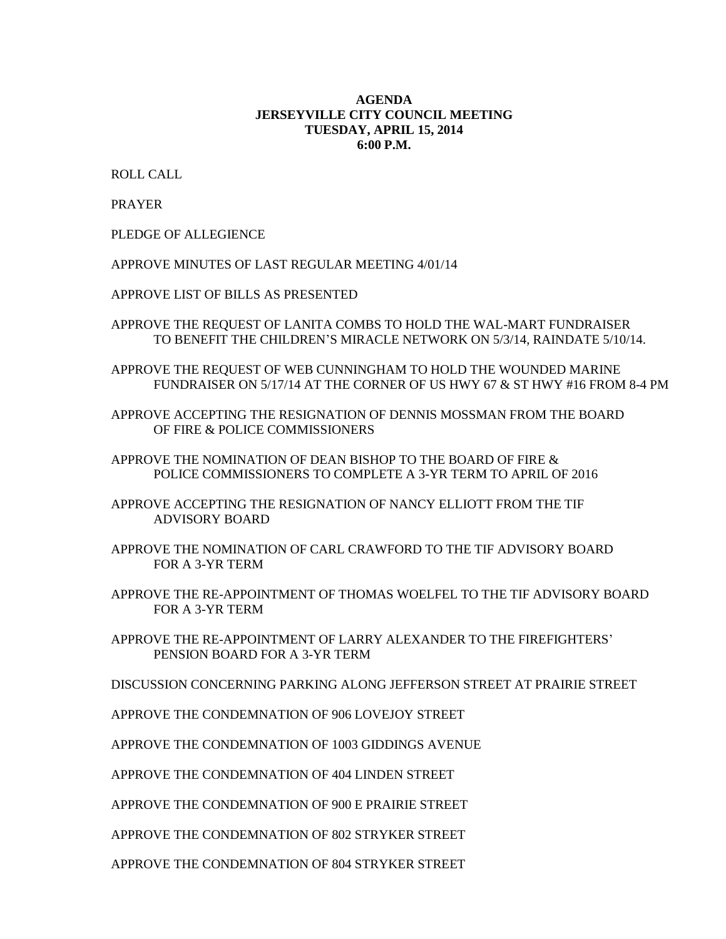## **AGENDA JERSEYVILLE CITY COUNCIL MEETING TUESDAY, APRIL 15, 2014 6:00 P.M.**

ROLL CALL

PRAYER

PLEDGE OF ALLEGIENCE

APPROVE MINUTES OF LAST REGULAR MEETING 4/01/14

APPROVE LIST OF BILLS AS PRESENTED

APPROVE THE REQUEST OF LANITA COMBS TO HOLD THE WAL-MART FUNDRAISER TO BENEFIT THE CHILDREN'S MIRACLE NETWORK ON 5/3/14, RAINDATE 5/10/14.

APPROVE THE REQUEST OF WEB CUNNINGHAM TO HOLD THE WOUNDED MARINE FUNDRAISER ON 5/17/14 AT THE CORNER OF US HWY 67 & ST HWY #16 FROM 8-4 PM

APPROVE ACCEPTING THE RESIGNATION OF DENNIS MOSSMAN FROM THE BOARD OF FIRE & POLICE COMMISSIONERS

APPROVE THE NOMINATION OF DEAN BISHOP TO THE BOARD OF FIRE & POLICE COMMISSIONERS TO COMPLETE A 3-YR TERM TO APRIL OF 2016

APPROVE ACCEPTING THE RESIGNATION OF NANCY ELLIOTT FROM THE TIF ADVISORY BOARD

APPROVE THE NOMINATION OF CARL CRAWFORD TO THE TIF ADVISORY BOARD FOR A 3-YR TERM

APPROVE THE RE-APPOINTMENT OF THOMAS WOELFEL TO THE TIF ADVISORY BOARD FOR A 3-YR TERM

APPROVE THE RE-APPOINTMENT OF LARRY ALEXANDER TO THE FIREFIGHTERS' PENSION BOARD FOR A 3-YR TERM

DISCUSSION CONCERNING PARKING ALONG JEFFERSON STREET AT PRAIRIE STREET

APPROVE THE CONDEMNATION OF 906 LOVEJOY STREET

APPROVE THE CONDEMNATION OF 1003 GIDDINGS AVENUE

APPROVE THE CONDEMNATION OF 404 LINDEN STREET

APPROVE THE CONDEMNATION OF 900 E PRAIRIE STREET

APPROVE THE CONDEMNATION OF 802 STRYKER STREET

APPROVE THE CONDEMNATION OF 804 STRYKER STREET